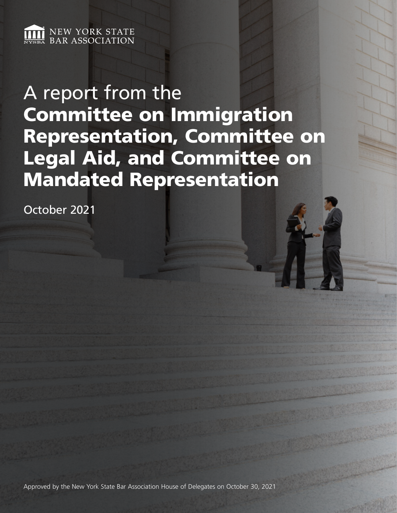

A report from the Committee on Immigration Representation, Committee on Legal Aid, and Committee on Mandated Representation

October 2021

Approved by the New York State Bar Association House of Delegates on October 30, 2021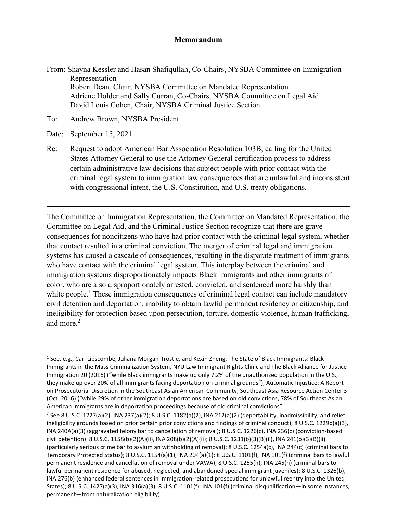#### **Memorandum**

From: Shayna Kessler and Hasan Shafiqullah, Co-Chairs, NYSBA Committee on Immigration Representation Robert Dean, Chair, NYSBA Committee on Mandated Representation Adriene Holder and Sally Curran, Co-Chairs, NYSBA Committee on Legal Aid David Louis Cohen, Chair, NYSBA Criminal Justice Section

To: Andrew Brown, NYSBA President

Date: September 15, 2021

Re: Request to adopt American Bar Association Resolution 103B, calling for the United States Attorney General to use the Attorney General certification process to address certain administrative law decisions that subject people with prior contact with the criminal legal system to immigration law consequences that are unlawful and inconsistent with congressional intent, the U.S. Constitution, and U.S. treaty obligations.

The Committee on Immigration Representation, the Committee on Mandated Representation, the Committee on Legal Aid, and the Criminal Justice Section recognize that there are grave consequences for noncitizens who have had prior contact with the criminal legal system, whether that contact resulted in a criminal conviction. The merger of criminal legal and immigration systems has caused a cascade of consequences, resulting in the disparate treatment of immigrants who have contact with the criminal legal system. This interplay between the criminal and immigration systems disproportionately impacts Black immigrants and other immigrants of color, who are also disproportionately arrested, convicted, and sentenced more harshly than white people.<sup>1</sup> These immigration consequences of criminal legal contact can include mandatory civil detention and deportation, inability to obtain lawful permanent residency or citizenship, and ineligibility for protection based upon persecution, torture, domestic violence, human trafficking, and more.<sup>2</sup>

<span id="page-1-0"></span><sup>&</sup>lt;sup>1</sup> See, e.g., Carl Lipscombe, Juliana Morgan-Trostle, and Kexin Zheng, The State of Black Immigrants: Black Immigrants in the Mass Criminalization System, NYU Law Immigrant Rights Clinic and The Black Alliance for Justice Immigration 20 (2016) ("while Black immigrants make up only 7.2% of the unauthorized population in the U.S., they make up over 20% of all immigrants facing deportation on criminal grounds"); Automatic Injustice: A Report on Prosecutorial Discretion in the Southeast Asian American Community, Southeast Asia Resource Action Center 3 (Oct. 2016) ("while 29% of other immigration deportations are based on old convictions, 78% of Southeast Asian American immigrants are in deportation proceedings because of old criminal convictions"

<span id="page-1-1"></span><sup>&</sup>lt;sup>2</sup> See 8 U.S.C. 1227(a)(2), INA 237(a)(2); 8 U.S.C. 1182(a)(2), INA 212(a)(2) (deportability, inadmissibility, and relief ineligibility grounds based on prior certain prior convictions and findings of criminal conduct); 8 U.S.C. 1229b(a)(3), INA 240A(a)(3) (aggravated felony bar to cancellation of removal); 8 U.S.C. 1226(c), INA 236(c) (conviction-based civil detention); 8 U.S.C. 1158(b)(2)(A)(ii), INA 208(b)(2)(A)(ii); 8 U.S.C. 1231(b)(3)(B)(ii), INA 241(b)(3)(B)(ii) (particularly serious crime bar to asylum an withholding of removal); 8 U.S.C. 1254a(c), INA 244(c) (criminal bars to Temporary Protected Status); 8 U.S.C. 1154(a)(1), INA 204(a)(1); 8 U.S.C. 1101(f), INA 101(f) (criminal bars to lawful permanent residence and cancellation of removal under VAWA); 8 U.S.C. 1255(h), INA 245(h) (criminal bars to lawful permanent residence for abused, neglected, and abandoned special immigrant juveniles); 8 U.S.C. 1326(b), INA 276(b) (enhanced federal sentences in immigration-related prosecutions for unlawful reentry into the United States); 8 U.S.C. 1427(a)(3), INA 316(a)(3); 8 U.S.C. 1101(f), INA 101(f) (criminal disqualification—in some instances, permanent—from naturalization eligibility).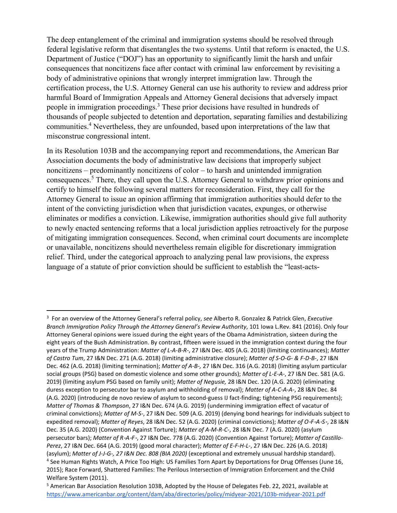The deep entanglement of the criminal and immigration systems should be resolved through federal legislative reform that disentangles the two systems. Until that reform is enacted, the U.S. Department of Justice ("DOJ") has an opportunity to significantly limit the harsh and unfair consequences that noncitizens face after contact with criminal law enforcement by revisiting a body of administrative opinions that wrongly interpret immigration law. Through the certification process, the U.S. Attorney General can use his authority to review and address prior harmful Board of Immigration Appeals and Attorney General decisions that adversely impact people in immigration proceedings[.3](#page-2-0) These prior decisions have resulted in hundreds of thousands of people subjected to detention and deportation, separating families and destabilizing communities.[4](#page-2-1) Nevertheless, they are unfounded, based upon interpretations of the law that misconstrue congressional intent.

In its Resolution 103B and the accompanying report and recommendations, the American Bar Association documents the body of administrative law decisions that improperly subject noncitizens – predominantly noncitizens of color – to harsh and unintended immigration consequences[.5](#page-2-2) There, they call upon the U.S. Attorney General to withdraw prior opinions and certify to himself the following several matters for reconsideration. First, they call for the Attorney General to issue an opinion affirming that immigration authorities should defer to the intent of the convicting jurisdiction when that jurisdiction vacates, expunges, or otherwise eliminates or modifies a conviction. Likewise, immigration authorities should give full authority to newly enacted sentencing reforms that a local jurisdiction applies retroactively for the purpose of mitigating immigration consequences. Second, when criminal court documents are incomplete or unavailable, noncitizens should nevertheless remain eligible for discretionary immigration relief. Third, under the categorical approach to analyzing penal law provisions, the express language of a statute of prior conviction should be sufficient to establish the "least-acts-

<span id="page-2-0"></span><sup>3</sup> For an overview of the Attorney General's referral policy, *see* Alberto R. Gonzalez & Patrick Glen, *Executive Branch Immigration Policy Through the Attorney General's Review Authority*, 101 Iowa L.Rev. 841 (2016). Only four Attorney General opinions were issued during the eight years of the Obama Administration, sixteen during the eight years of the Bush Administration. By contrast, fifteen were issued in the immigration context during the four years of the Trump Administration: *Matter of L-A-B-R-*, 27 I&N Dec. 405 (A.G. 2018) (limiting continuances); *Matter of Castro Tum*, 27 I&N Dec. 271 (A.G. 2018) (limiting administrative closure); *Matter of S-O-G- & F-D-B-*, 27 I&N Dec. 462 (A.G. 2018) (limiting termination); *Matter of A-B-,* 27 I&N Dec. 316 (A.G. 2018) (limiting asylum particular social groups (PSG) based on domestic violence and some other grounds); *Matter of L-E-A-*, 27 I&N Dec. 581 (A.G. 2019) (limiting asylum PSG based on family unit); *Matter of Negusie,* 28 I&N Dec. 120 (A.G. 2020) (eliminating duress exception to persecutor bar to asylum and withholding of removal); *Matter of A-C-A-A-*, 28 I&N Dec. 84 (A.G. 2020) (introducing de novo review of asylum to second-guess IJ fact-finding; tightening PSG requirements); *Matter of Thomas & Thompson*, 27 I&N Dec. 674 (A.G. 2019) (undermining immigration effect of vacatur of criminal convictions); *Matter of M-S-*, 27 I&N Dec. 509 (A.G. 2019) (denying bond hearings for individuals subject to expedited removal); *Matter of Reyes*, 28 I&N Dec. 52 (A.G. 2020) (criminal convictions); *Matter of O*‑*F*‑*A*‑*S*‑, 28 I&N Dec. 35 (A.G. 2020) (Convention Against Torture); *Matter of A-M-R-C-*, 28 I&N Dec. 7 (A.G. 2020) (asylum persecutor bars); *Matter of R-A-F-*, 27 I&N Dec. 778 (A.G. 2020) (Convention Against Torture); *Matter of Castillo-Perez*, 27 I&N Dec. 664 (A.G. 2019) (good moral character); *Matter of E-F-H-L-*, 27 I&N Dec. 226 (A.G. 2018) (asylum); *Matter of J-J-G-, 27 I&N Dec. 808 (BIA 2020)* (exceptional and extremely unusual hardship standard). <sup>4</sup> See Human Rights Watch, A Price Too High: US Families Torn Apart by Deportations for Drug Offenses (June 16, 2015); Race Forward, Shattered Families: The Perilous Intersection of Immigration Enforcement and the Child Welfare System (2011).

<span id="page-2-2"></span><span id="page-2-1"></span><sup>5</sup> American Bar Association Resolution 103B, Adopted by the House of Delegates Feb. 22, 2021, available at <https://www.americanbar.org/content/dam/aba/directories/policy/midyear-2021/103b-midyear-2021.pdf>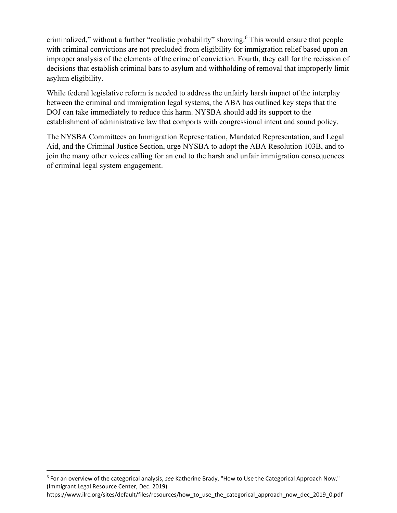criminalized," without a further "realistic probability" showing.<sup>6</sup> This would ensure that people with criminal convictions are not precluded from eligibility for immigration relief based upon an improper analysis of the elements of the crime of conviction. Fourth, they call for the recission of decisions that establish criminal bars to asylum and withholding of removal that improperly limit asylum eligibility.

While federal legislative reform is needed to address the unfairly harsh impact of the interplay between the criminal and immigration legal systems, the ABA has outlined key steps that the DOJ can take immediately to reduce this harm. NYSBA should add its support to the establishment of administrative law that comports with congressional intent and sound policy.

The NYSBA Committees on Immigration Representation, Mandated Representation, and Legal Aid, and the Criminal Justice Section, urge NYSBA to adopt the ABA Resolution 103B, and to join the many other voices calling for an end to the harsh and unfair immigration consequences of criminal legal system engagement.

<span id="page-3-0"></span><sup>6</sup> For an overview of the categorical analysis, *see* Katherine Brady, "How to Use the Categorical Approach Now," (Immigrant Legal Resource Center, Dec. 2019)

https:[//www.ilrc.org/sites/default/files/resources/how\\_to\\_use\\_the\\_categorical\\_approach\\_now\\_dec\\_2019\\_0.pdf](http://www.ilrc.org/sites/default/files/resources/how_to_use_the_categorical_approach_now_dec_2019_0.pdf)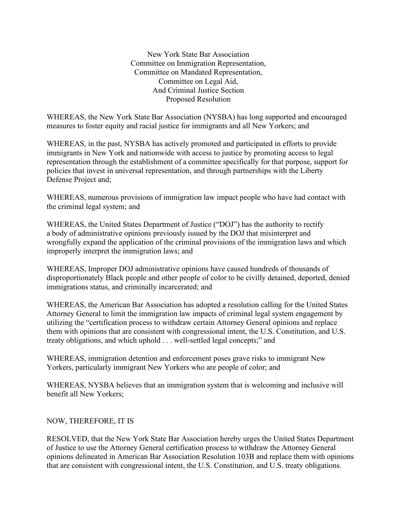New York State Bar Association Committee on Immigration Representation, Committee on Mandated Representation, Committee on Legal Aid, And Criminal Justice Section Proposed Resolution

WHEREAS, the New York State Bar Association (NYSBA) has long supported and encouraged measures to foster equity and racial justice for immigrants and all New Yorkers; and

WHEREAS, in the past, NYSBA has actively promoted and participated in efforts to provide immigrants in New York and nationwide with access to justice by promoting access to legal representation through the establishment of a committee specifically for that purpose, support for policies that invest in universal representation, and through partnerships with the Liberty Defense Project and;

WHEREAS, numerous provisions of immigration law impact people who have had contact with the criminal legal system; and

WHEREAS, the United States Department of Justice ("DOJ") has the authority to rectify a body of administrative opinions previously issued by the DOJ that misinterpret and wrongfully expand the application of the criminal provisions of the immigration laws and which improperly interpret the immigration laws; and

WHEREAS, Improper DOJ administrative opinions have caused hundreds of thousands of disproportionately Black people and other people of color to be civilly detained, deported, denied immigrations status, and criminally incarcerated; and

WHEREAS, the American Bar Association has adopted a resolution calling for the United States Attorney General to limit the immigration law impacts of criminal legal system engagement by utilizing the "certification process to withdraw certain Attorney General opinions and replace them with opinions that are consistent with congressional intent, the U.S. Constitution, and U.S. treaty obligations, and which uphold . . . well-settled legal concepts;" and

WHEREAS, immigration detention and enforcement poses grave risks to immigrant New Yorkers, particularly immigrant New Yorkers who are people of color; and

WHEREAS, NYSBA believes that an immigration system that is welcoming and inclusive will benefit all New Yorkers;

### NOW, THEREFORE, IT IS

RESOLVED, that the New York State Bar Association hereby urges the United States Department of Justice to use the Attorney General certification process to withdraw the Attorney General opinions delineated in American Bar Association Resolution 103B and replace them with opinions that are consistent with congressional intent, the U.S. Constitution, and U.S. treaty obligations.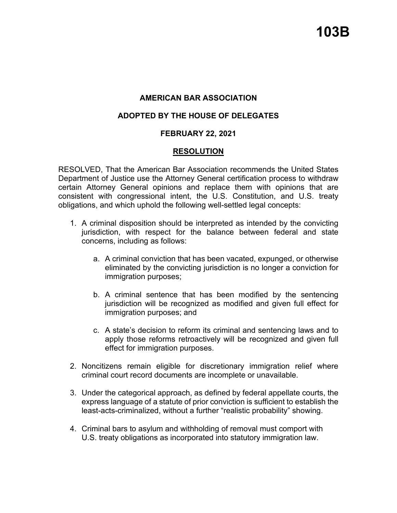## **AMERICAN BAR ASSOCIATION**

### **ADOPTED BY THE HOUSE OF DELEGATES**

### **FEBRUARY 22, 2021**

#### **RESOLUTION**

RESOLVED, That the American Bar Association recommends the United States Department of Justice use the Attorney General certification process to withdraw certain Attorney General opinions and replace them with opinions that are consistent with congressional intent, the U.S. Constitution, and U.S. treaty obligations, and which uphold the following well-settled legal concepts:

- 1. A criminal disposition should be interpreted as intended by the convicting jurisdiction, with respect for the balance between federal and state concerns, including as follows:
	- a. A criminal conviction that has been vacated, expunged, or otherwise eliminated by the convicting jurisdiction is no longer a conviction for immigration purposes;
	- b. A criminal sentence that has been modified by the sentencing jurisdiction will be recognized as modified and given full effect for immigration purposes; and
	- c. A state's decision to reform its criminal and sentencing laws and to apply those reforms retroactively will be recognized and given full effect for immigration purposes.
- 2. Noncitizens remain eligible for discretionary immigration relief where criminal court record documents are incomplete or unavailable.
- 3. Under the categorical approach, as defined by federal appellate courts, the express language of a statute of prior conviction is sufficient to establish the least-acts-criminalized, without a further "realistic probability" showing.
- 4. Criminal bars to asylum and withholding of removal must comport with U.S. treaty obligations as incorporated into statutory immigration law.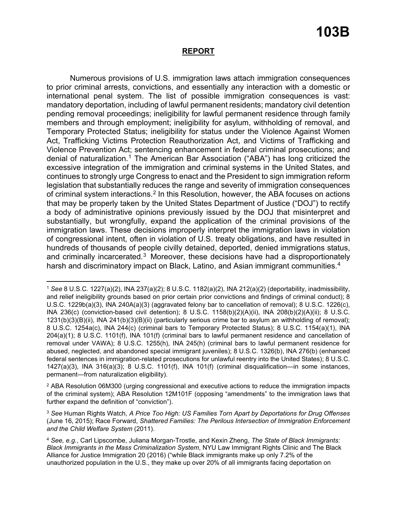### **REPORT**

Numerous provisions of U.S. immigration laws attach immigration consequences to prior criminal arrests, convictions, and essentially any interaction with a domestic or international penal system. The list of possible immigration consequences is vast: mandatory deportation, including of lawful permanent residents; mandatory civil detention pending removal proceedings; ineligibility for lawful permanent residence through family members and through employment; ineligibility for asylum, withholding of removal, and Temporary Protected Status; ineligibility for status under the Violence Against Women Act, Trafficking Victims Protection Reauthorization Act, and Victims of Trafficking and Violence Prevention Act; sentencing enhancement in federal criminal prosecutions; and denial of naturalization.[1](#page-7-0) The American Bar Association ("ABA") has long criticized the excessive integration of the immigration and criminal systems in the United States, and continues to strongly urge Congress to enact and the President to sign immigration reform legislation that substantially reduces the range and severity of immigration consequences of criminal system interactions.<sup>[2](#page-7-1)</sup> In this Resolution, however, the ABA focuses on actions that may be properly taken by the United States Department of Justice ("DOJ") to rectify a body of administrative opinions previously issued by the DOJ that misinterpret and substantially, but wrongfully, expand the application of the criminal provisions of the immigration laws. These decisions improperly interpret the immigration laws in violation of congressional intent, often in violation of U.S. treaty obligations, and have resulted in hundreds of thousands of people civilly detained, deported, denied immigrations status, and criminally incarcerated.<sup>3</sup> Moreover, these decisions have had a disproportionately harsh and discriminatory impact on Black, Latino, and Asian immigrant communities.<sup>[4](#page-7-3)</sup>

<span id="page-7-0"></span><sup>1</sup> *See* 8 U.S.C. 1227(a)(2), INA 237(a)(2); 8 U.S.C. 1182(a)(2), INA 212(a)(2) (deportability, inadmissibility, and relief ineligibility grounds based on prior certain prior convictions and findings of criminal conduct); 8 U.S.C. 1229b(a)(3), INA 240A(a)(3) (aggravated felony bar to cancellation of removal); 8 U.S.C. 1226(c), INA 236(c) (conviction-based civil detention); 8 U.S.C. 1158(b)(2)(A)(ii), INA 208(b)(2)(A)(ii); 8 U.S.C. 1231(b)(3)(B)(ii), INA 241(b)(3)(B)(ii) (particularly serious crime bar to asylum an withholding of removal); 8 U.S.C. 1254a(c), INA 244(c) (criminal bars to Temporary Protected Status); 8 U.S.C. 1154(a)(1), INA 204(a)(1); 8 U.S.C. 1101(f), INA 101(f) (criminal bars to lawful permanent residence and cancellation of removal under VAWA); 8 U.S.C. 1255(h), INA 245(h) (criminal bars to lawful permanent residence for abused, neglected, and abandoned special immigrant juveniles); 8 U.S.C. 1326(b), INA 276(b) (enhanced federal sentences in immigration-related prosecutions for unlawful reentry into the United States); 8 U.S.C. 1427(a)(3), INA 316(a)(3); 8 U.S.C. 1101(f), INA 101(f) (criminal disqualification—in some instances, permanent—from naturalization eligibility).

<span id="page-7-1"></span><sup>2</sup> ABA Resolution 06M300 (urging congressional and executive actions to reduce the immigration impacts of the criminal system); ABA Resolution 12M101F (opposing "amendments" to the immigration laws that further expand the definition of "conviction").

<span id="page-7-2"></span><sup>3</sup> *See* Human Rights Watch, *A Price Too High: US Families Torn Apart by Deportations for Drug Offenses* (June 16, 2015); Race Forward, *Shattered Families: The Perilous Intersection of Immigration Enforcement and the Child Welfare System* (2011).

<span id="page-7-3"></span><sup>4</sup> *See, e.g.*, Carl Lipscombe, Juliana Morgan-Trostle, and Kexin Zheng, *The State of Black Immigrants: Black Immigrants in the Mass Criminalization System*, NYU Law Immigrant Rights Clinic and The Black Alliance for Justice Immigration 20 (2016) ("while Black immigrants make up only 7.2% of the unauthorized population in the U.S., they make up over 20% of all immigrants facing deportation on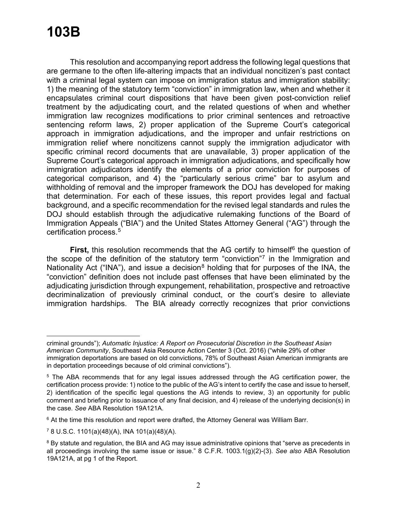## **103B**

This resolution and accompanying report address the following legal questions that are germane to the often life-altering impacts that an individual noncitizen's past contact with a criminal legal system can impose on immigration status and immigration stability: 1) the meaning of the statutory term "conviction" in immigration law, when and whether it encapsulates criminal court dispositions that have been given post-conviction relief treatment by the adjudicating court, and the related questions of when and whether immigration law recognizes modifications to prior criminal sentences and retroactive sentencing reform laws, 2) proper application of the Supreme Court's categorical approach in immigration adjudications, and the improper and unfair restrictions on immigration relief where noncitizens cannot supply the immigration adjudicator with specific criminal record documents that are unavailable, 3) proper application of the Supreme Court's categorical approach in immigration adjudications, and specifically how immigration adjudicators identify the elements of a prior conviction for purposes of categorical comparison, and 4) the "particularly serious crime" bar to asylum and withholding of removal and the improper framework the DOJ has developed for making that determination. For each of these issues, this report provides legal and factual background, and a specific recommendation for the revised legal standards and rules the DOJ should establish through the adjudicative rulemaking functions of the Board of Immigration Appeals ("BIA") and the United States Attorney General ("AG") through the certification process.[5](#page-8-0)

**First,** this resolution recommends that the AG certify to himself<sup>[6](#page-8-1)</sup> the question of the scope of the definition of the statutory term "conviction"<sup>[7](#page-8-2)</sup> in the Immigration and Nationality Act ("INA"), and issue a decision<sup>[8](#page-8-3)</sup> holding that for purposes of the INA, the "conviction" definition does not include past offenses that have been eliminated by the adjudicating jurisdiction through expungement, rehabilitation, prospective and retroactive decriminalization of previously criminal conduct, or the court's desire to alleviate immigration hardships. The BIA already correctly recognizes that prior convictions

criminal grounds"); *Automatic Injustice: A Report on Prosecutorial Discretion in the Southeast Asian American Community*, Southeast Asia Resource Action Center 3 (Oct. 2016) ("while 29% of other immigration deportations are based on old convictions, 78% of Southeast Asian American immigrants are in deportation proceedings because of old criminal convictions").

<span id="page-8-0"></span><sup>5</sup> The ABA recommends that for any legal issues addressed through the AG certification power, the certification process provide: 1) notice to the public of the AG's intent to certify the case and issue to herself, 2) identification of the specific legal questions the AG intends to review, 3) an opportunity for public comment and briefing prior to issuance of any final decision, and 4) release of the underlying decision(s) in the case. *See* ABA Resolution 19A121A.

<span id="page-8-1"></span> $6$  At the time this resolution and report were drafted, the Attorney General was William Barr.

<span id="page-8-2"></span><sup>7</sup> 8 U.S.C. 1101(a)(48)(A), INA 101(a)(48)(A).

<span id="page-8-3"></span><sup>8</sup> By statute and regulation, the BIA and AG may issue administrative opinions that "serve as precedents in all proceedings involving the same issue or issue." 8 C.F.R. 1003.1(g)(2)-(3). *See also* ABA Resolution 19A121A, at pg 1 of the Report.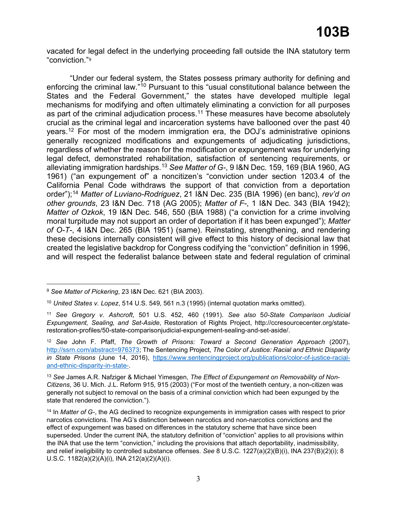vacated for legal defect in the underlying proceeding fall outside the INA statutory term "conviction."[9](#page-9-0)

"Under our federal system, the States possess primary authority for defining and enforcing the criminal law."<sup>[10](#page-9-1)</sup> Pursuant to this "usual constitutional balance between the States and the Federal Government," the states have developed multiple legal mechanisms for modifying and often ultimately eliminating a conviction for all purposes as part of the criminal adjudication process.<sup>[11](#page-9-2)</sup> These measures have become absolutely crucial as the criminal legal and incarceration systems have ballooned over the past 40 years.[12](#page-9-3) For most of the modern immigration era, the DOJ's administrative opinions generally recognized modifications and expungements of adjudicating jurisdictions, regardless of whether the reason for the modification or expungement was for underlying legal defect, demonstrated rehabilitation, satisfaction of sentencing requirements, or alleviating immigration hardships.[13](#page-9-4) *See Matter of G-*, 9 I&N Dec. 159, 169 (BIA 1960, AG 1961) ("an expungement of" a noncitizen's "conviction under section 1203.4 of the California Penal Code withdraws the support of that conviction from a deportation order");[14](#page-9-5) *Matter of Luviano-Rodriguez*, 21 I&N Dec. 235 (BIA 1996) (en banc), *rev'd on other grounds*, 23 I&N Dec. 718 (AG 2005); *Matter of F-*, 1 I&N Dec. 343 (BIA 1942); *Matter of Ozkok*, 19 I&N Dec. 546, 550 (BIA 1988) ("a conviction for a crime involving moral turpitude may not support an order of deportation if it has been expunged"); *Matter of O-T-*, 4 I&N Dec. 265 (BIA 1951) (same). Reinstating, strengthening, and rendering these decisions internally consistent will give effect to this history of decisional law that created the legislative backdrop for Congress codifying the "conviction" definition in 1996, and will respect the federalist balance between state and federal regulation of criminal

<span id="page-9-0"></span><sup>9</sup> *See Matter of Pickering*, 23 I&N Dec. 621 (BIA 2003).

<span id="page-9-1"></span><sup>10</sup> *United States v. Lopez*, 514 U.S. 549, 561 n.3 (1995) (internal quotation marks omitted).

<span id="page-9-2"></span><sup>11</sup> *See Gregory v. Ashcroft*, 501 U.S. 452, 460 (1991). *See also* 5*0-State Comparison Judicial Expungement, Sealing, and Set-Aside*, Restoration of Rights Project, http://ccresourcecenter.org/staterestoration-profiles/50-state-comparisonjudicial-expungement-sealing-and-set-aside/.

<span id="page-9-3"></span><sup>12</sup> *See* John F. Pfaff, *The Growth of Prisons: Toward a Second Generation Approach* (2007), [http://ssrn.com/abstract=976373;](http://ssrn.com/abstract=976373) The Sentencing Project, *The Color of Justice: Racial and Ethnic Disparity in State Prisons* (June 14, 2016), [https://www.sentencingproject.org/publications/color-of-justice-racial](https://www.sentencingproject.org/publications/color-of-justice-racial-and-ethnic-disparity-in-state-)[and-ethnic-disparity-in-state-.](https://www.sentencingproject.org/publications/color-of-justice-racial-and-ethnic-disparity-in-state-)

<span id="page-9-4"></span><sup>13</sup> *See* James A.R. Nafziger & Michael Yimesgen, *The Effect of Expungement on Removability of Non-Citizens*, 36 U. Mich. J.L. Reform 915, 915 (2003) ("For most of the twentieth century, a non-citizen was generally not subject to removal on the basis of a criminal conviction which had been expunged by the state that rendered the conviction.").

<span id="page-9-5"></span><sup>14</sup> In *Matter of G-*, the AG declined to recognize expungements in immigration cases with respect to prior narcotics convictions. The AG's distinction between narcotics and non-narcotics convictions and the effect of expungement was based on differences in the statutory scheme that have since been superseded. Under the current INA, the statutory definition of "conviction" applies to all provisions within the INA that use the term "conviction," including the provisions that attach deportability, inadmissibility, and relief ineligibility to controlled substance offenses. *See* 8 U.S.C. 1227(a)(2)(B)(i), INA 237(B)(2)(i); 8 U.S.C. 1182(a)(2)(A)(i), INA 212(a)(2)(A)(i).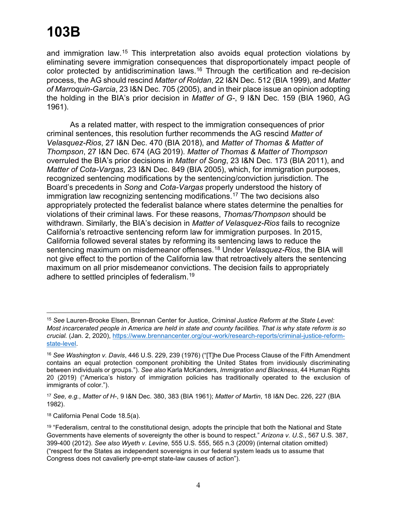and immigration law.[15](#page-10-0) This interpretation also avoids equal protection violations by eliminating severe immigration consequences that disproportionately impact people of color protected by antidiscrimination laws.<sup>[16](#page-10-1)</sup> Through the certification and re-decision process, the AG should rescind *Matter of Roldan*, 22 I&N Dec. 512 (BIA 1999), and *Matter of Marroquin-Garcia*, 23 I&N Dec. 705 (2005), and in their place issue an opinion adopting the holding in the BIA's prior decision in *Matter of G-*, 9 I&N Dec. 159 (BIA 1960, AG 1961).

As a related matter, with respect to the immigration consequences of prior criminal sentences, this resolution further recommends the AG rescind *Matter of Velasquez-Rios*, 27 I&N Dec. 470 (BIA 2018), and *Matter of Thomas & Matter of Thompson*, 27 I&N Dec. 674 (AG 2019). *Matter of Thomas & Matter of Thompson* overruled the BIA's prior decisions in *Matter of Song*, 23 I&N Dec. 173 (BIA 2011), and *Matter of Cota-Vargas*, 23 I&N Dec. 849 (BIA 2005), which, for immigration purposes, recognized sentencing modifications by the sentencing/conviction jurisdiction. The Board's precedents in *Song* and *Cota-Vargas* properly understood the history of immigration law recognizing sentencing modifications.[17](#page-10-2) The two decisions also appropriately protected the federalist balance where states determine the penalties for violations of their criminal laws. For these reasons, *Thomas/Thompson* should be withdrawn. Similarly, the BIA's decision in *Matter of Velasquez-Rios* fails to recognize California's retroactive sentencing reform law for immigration purposes. In 2015, California followed several states by reforming its sentencing laws to reduce the sentencing maximum on misdemeanor offenses.[18](#page-10-3) Under *Velasquez-Rios*, the BIA will not give effect to the portion of the California law that retroactively alters the sentencing maximum on all prior misdemeanor convictions. The decision fails to appropriately adhere to settled principles of federalism.[19](#page-10-4)

<span id="page-10-0"></span><sup>15</sup> *See* Lauren-Brooke Elsen, Brennan Center for Justice, *Criminal Justice Reform at the State Level: Most incarcerated people in America are held in state and county facilities. That is why state reform is so crucial.* (Jan. 2, 2020), [https://www.brennancenter.org/our-work/research-reports/criminal-justice-reform](https://www.brennancenter.org/our-work/research-reports/criminal-justice-reform-state-level)[state-level.](https://www.brennancenter.org/our-work/research-reports/criminal-justice-reform-state-level)

<span id="page-10-1"></span><sup>16</sup> *See Washington v. Davis*, 446 U.S. 229, 239 (1976) ("[T]he Due Process Clause of the Fifth Amendment contains an equal protection component prohibiting the United States from invidiously discriminating between individuals or groups."). *See also* Karla McKanders, *Immigration and Blackness*, 44 Human Rights 20 (2019) ("America's history of immigration policies has traditionally operated to the exclusion of immigrants of color.").

<span id="page-10-2"></span><sup>17</sup> *See, e.g.*, *Matter of H-*, 9 I&N Dec. 380, 383 (BIA 1961); *Matter of Martin*, 18 I&N Dec. 226, 227 (BIA 1982).

<span id="page-10-3"></span><sup>18</sup> California Penal Code 18.5(a).

<span id="page-10-4"></span><sup>&</sup>lt;sup>19</sup> "Federalism, central to the constitutional design, adopts the principle that both the National and State Governments have elements of sovereignty the other is bound to respect." *Arizona v. U.S.*, 567 U.S. 387, 399-400 (2012). *See also Wyeth v. Levine*, 555 U.S. 555, 565 n.3 (2009) (internal citation omitted) ("respect for the States as independent sovereigns in our federal system leads us to assume that Congress does not cavalierly pre-empt state-law causes of action").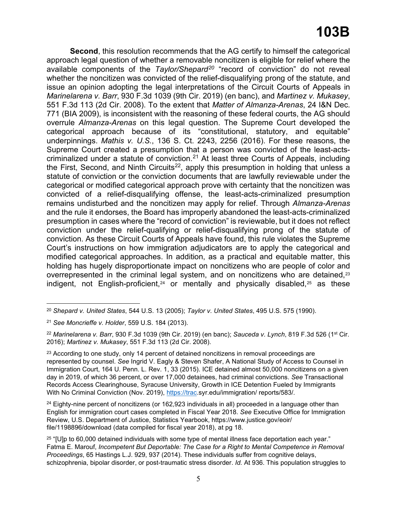## **103B**

**Second**, this resolution recommends that the AG certify to himself the categorical approach legal question of whether a removable noncitizen is eligible for relief where the available components of the *Taylor/Shepard[20](#page-11-0)* "record of conviction" do not reveal whether the noncitizen was convicted of the relief-disqualifying prong of the statute, and issue an opinion adopting the legal interpretations of the Circuit Courts of Appeals in *Marinelarena v. Barr*, 930 F.3d 1039 (9th Cir. 2019) (en banc), and *Martinez v. Mukasey*, 551 F.3d 113 (2d Cir. 2008). To the extent that *Matter of Almanza-Arenas*, 24 I&N Dec. 771 (BIA 2009), is inconsistent with the reasoning of these federal courts, the AG should overrule *Almanza-Arenas* on this legal question. The Supreme Court developed the categorical approach because of its "constitutional, statutory, and equitable" underpinnings. *Mathis v. U.S.*, 136 S. Ct. 2243, 2256 (2016). For these reasons, the Supreme Court created a presumption that a person was convicted of the least-actscriminalized under a statute of conviction.<sup>21</sup> At least three Courts of Appeals, including the First, Second, and Ninth Circuits<sup>22</sup>, apply this presumption in holding that unless a statute of conviction or the conviction documents that are lawfully reviewable under the categorical or modified categorical approach prove with certainty that the noncitizen was convicted of a relief-disqualifying offense, the least-acts-criminalized presumption remains undisturbed and the noncitizen may apply for relief. Through *Almanza-Arenas* and the rule it endorses, the Board has improperly abandoned the least-acts-criminalized presumption in cases where the "record of conviction" is reviewable, but it does not reflect conviction under the relief-qualifying or relief-disqualifying prong of the statute of conviction. As these Circuit Courts of Appeals have found, this rule violates the Supreme Court's instructions on how immigration adjudicators are to apply the categorical and modified categorical approaches. In addition, as a practical and equitable matter, this holding has hugely disproportionate impact on noncitizens who are people of color and overrepresented in the criminal legal system, and on noncitizens who are detained,<sup>[23](#page-11-3)</sup> indigent, not English-proficient,<sup>[24](#page-11-4)</sup> or mentally and physically disabled,<sup>[25](#page-11-5)</sup> as these

<span id="page-11-4"></span> $24$  Eighty-nine percent of noncitizens (or 162,923 individuals in all) proceeded in a language other than English for immigration court cases completed in Fiscal Year 2018. *See* Executive Office for Immigration Review, U.S. Department of Justice, Statistics Yearbook, https://www.justice.gov/eoir/ file/1198896/download (data compiled for fiscal year 2018), at pg 18.

<span id="page-11-0"></span><sup>20</sup> *Shepard v. United States*, 544 U.S. 13 (2005); *Taylor v. United States*, 495 U.S. 575 (1990).

<span id="page-11-1"></span><sup>21</sup> *See Moncrieffe v. Holder*, 559 U.S. 184 (2013).

<span id="page-11-2"></span><sup>22</sup> *Marinelarena v. Barr*, 930 F.3d 1039 (9th Cir. 2019) (en banc); *Sauceda v. Lynch*, 819 F.3d 526 (1st Cir. 2016); *Martinez v. Mukasey*, 551 F.3d 113 (2d Cir. 2008).

<span id="page-11-3"></span> $23$  According to one study, only 14 percent of detained noncitizens in removal proceedings are represented by counsel. *See* Ingrid V. Eagly & Steven Shafer, A National Study of Access to Counsel in Immigration Court, 164 U. Penn. L. Rev. 1, 33 (2015). ICE detained almost 50,000 noncitizens on a given day in 2019, of which 36 percent, or over 17,000 detainees, had criminal convictions. *See* Transactional Records Access Clearinghouse, Syracuse University, Growth in ICE Detention Fueled by Immigrants With No Criminal Conviction (Nov. 2019), [https://trac.](https://trac/)syr.edu/immigration/ reports/583/.

<span id="page-11-5"></span> $25$  "[U]p to 60,000 detained individuals with some type of mental illness face deportation each year." Fatma E. Marouf, *Incompetent But Deportable: The Case for a Right to Mental Competence in Removal Proceedings*, 65 Hastings L.J. 929, 937 (2014). These individuals suffer from cognitive delays, schizophrenia, bipolar disorder, or post-traumatic stress disorder. *Id.* At 936. This population struggles to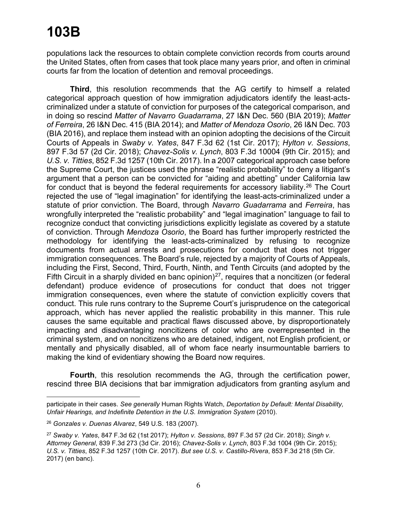populations lack the resources to obtain complete conviction records from courts around the United States, often from cases that took place many years prior, and often in criminal courts far from the location of detention and removal proceedings.

**Third**, this resolution recommends that the AG certify to himself a related categorical approach question of how immigration adjudicators identify the least-actscriminalized under a statute of conviction for purposes of the categorical comparison, and in doing so rescind *Matter of Navarro Guadarrama*, 27 I&N Dec. 560 (BIA 2019); *Matter of Ferreira*, 26 I&N Dec. 415 (BIA 2014); and *Matter of Mendoza Osorio*, 26 I&N Dec. 703 (BIA 2016), and replace them instead with an opinion adopting the decisions of the Circuit Courts of Appeals in *Swaby v. Yates*, 847 F.3d 62 (1st Cir. 2017); *Hylton v. Sessions*, 897 F.3d 57 (2d Cir. 2018); *Chavez-Solis v. Lynch*, 803 F.3d 10004 (9th Cir. 2015); and *U.S. v. Titties*, 852 F.3d 1257 (10th Cir. 2017). In a 2007 categorical approach case before the Supreme Court, the justices used the phrase "realistic probability" to deny a litigant's argument that a person can be convicted for "aiding and abetting" under California law for conduct that is beyond the federal requirements for accessory liability.<sup>[26](#page-12-0)</sup> The Court rejected the use of "legal imagination" for identifying the least-acts-criminalized under a statute of prior conviction. The Board, through *Navarro Guadarrama* and *Ferreira*, has wrongfully interpreted the "realistic probability" and "legal imagination" language to fail to recognize conduct that convicting jurisdictions explicitly legislate as covered by a statute of conviction. Through *Mendoza Osorio*, the Board has further improperly restricted the methodology for identifying the least-acts-criminalized by refusing to recognize documents from actual arrests and prosecutions for conduct that does not trigger immigration consequences. The Board's rule, rejected by a majority of Courts of Appeals, including the First, Second, Third, Fourth, Ninth, and Tenth Circuits (and adopted by the Fifth Circuit in a sharply divided en banc opinion) $27$ , requires that a noncitizen (or federal defendant) produce evidence of prosecutions for conduct that does not trigger immigration consequences, even where the statute of conviction explicitly covers that conduct. This rule runs contrary to the Supreme Court's jurisprudence on the categorical approach, which has never applied the realistic probability in this manner. This rule causes the same equitable and practical flaws discussed above, by disproportionately impacting and disadvantaging noncitizens of color who are overrepresented in the criminal system, and on noncitizens who are detained, indigent, not English proficient, or mentally and physically disabled, all of whom face nearly insurmountable barriers to making the kind of evidentiary showing the Board now requires.

**Fourth**, this resolution recommends the AG, through the certification power, rescind three BIA decisions that bar immigration adjudicators from granting asylum and

participate in their cases. *See generally* Human Rights Watch, *Deportation by Default: Mental Disability, Unfair Hearings, and Indefinite Detention in the U.S. Immigration System* (2010).

<span id="page-12-0"></span><sup>26</sup> *Gonzales v. Duenas Alvarez*, 549 U.S. 183 (2007).

<span id="page-12-1"></span><sup>27</sup> *Swaby v. Yates*, 847 F.3d 62 (1st 2017); *Hylton v. Sessions*, 897 F.3d 57 (2d Cir. 2018); *Singh v. Attorney General*, 839 F.3d 273 (3d Cir. 2016); *Chavez-Solis v. Lynch*, 803 F.3d 1004 (9th Cir. 2015); *U.S. v. Titties*, 852 F.3d 1257 (10th Cir. 2017). *But see U.S. v. Castillo-Rivera*, 853 F.3d 218 (5th Cir. 2017) (en banc).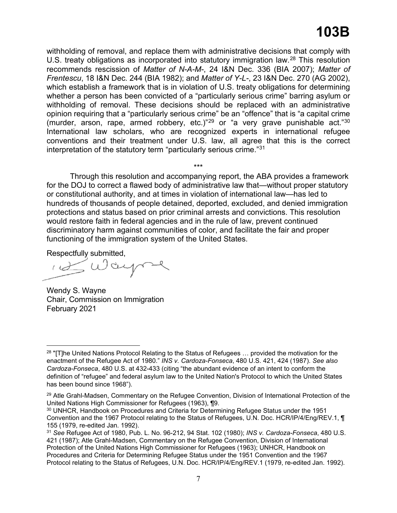withholding of removal, and replace them with administrative decisions that comply with U.S. treaty obligations as incorporated into statutory immigration law.<sup>[28](#page-13-0)</sup> This resolution recommends rescission of *Matter of N-A-M-*, 24 I&N Dec. 336 (BIA 2007); *Matter of Frentescu*, 18 I&N Dec. 244 (BIA 1982); and *Matter of Y-L-*, 23 I&N Dec. 270 (AG 2002), which establish a framework that is in violation of U.S. treaty obligations for determining whether a person has been convicted of a "particularly serious crime" barring asylum or withholding of removal. These decisions should be replaced with an administrative opinion requiring that a "particularly serious crime" be an "offence" that is "a capital crime (murder, arson, rape, armed robbery, etc.)"[29](#page-13-1) or "a very grave punishable act."[30](#page-13-2) International law scholars, who are recognized experts in international refugee conventions and their treatment under U.S. law, all agree that this is the correct interpretation of the statutory term "particularly serious crime."[31](#page-13-3)

Through this resolution and accompanying report, the ABA provides a framework for the DOJ to correct a flawed body of administrative law that—without proper statutory or constitutional authority, and at times in violation of international law—has led to hundreds of thousands of people detained, deported, excluded, and denied immigration protections and status based on prior criminal arrests and convictions. This resolution would restore faith in federal agencies and in the rule of law, prevent continued discriminatory harm against communities of color, and facilitate the fair and proper functioning of the immigration system of the United States.

\*\*\*

Respectfully submitted,

Wendy S. Wayne Chair, Commission on Immigration February 2021

<span id="page-13-0"></span><sup>&</sup>lt;sup>28</sup> "[T]he United Nations Protocol Relating to the Status of Refugees ... provided the motivation for the enactment of the Refugee Act of 1980." *INS v. Cardoza-Fonseca*, 480 U.S. 421, 424 (1987). *See also Cardoza-Fonseca*, 480 U.S. at 432-433 (citing "the abundant evidence of an intent to conform the definition of "refugee" and federal asylum law to the United Nation's Protocol to which the United States has been bound since 1968").

<span id="page-13-1"></span><sup>29</sup> Atle Grahl-Madsen, Commentary on the Refugee Convention, Division of International Protection of the United Nations High Commissioner for Refugees (1963), ¶9.

<span id="page-13-2"></span><sup>30</sup> UNHCR, Handbook on Procedures and Criteria for Determining Refugee Status under the 1951 Convention and the 1967 Protocol relating to the Status of Refugees, U.N. Doc. HCR/IP/4/Eng/REV.1, ¶ 155 (1979, re-edited Jan. 1992).

<span id="page-13-3"></span><sup>31</sup> *See* Refugee Act of 1980, Pub. L. No. 96-212, 94 Stat. 102 (1980); *INS v. Cardoza-Fonseca*, 480 U.S. 421 (1987); Atle Grahl-Madsen, Commentary on the Refugee Convention, Division of International Protection of the United Nations High Commissioner for Refugees (1963); UNHCR, Handbook on Procedures and Criteria for Determining Refugee Status under the 1951 Convention and the 1967 Protocol relating to the Status of Refugees, U.N. Doc. HCR/IP/4/Eng/REV.1 (1979, re-edited Jan. 1992).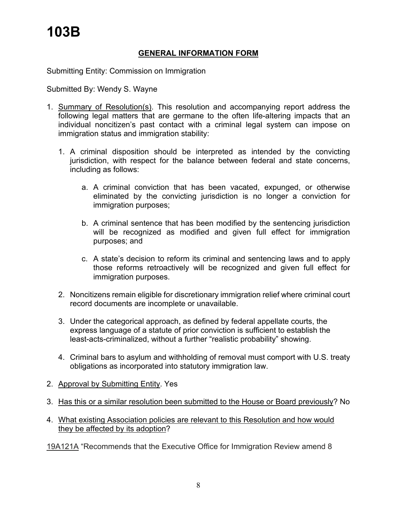## **GENERAL INFORMATION FORM**

Submitting Entity: Commission on Immigration

Submitted By: Wendy S. Wayne

- 1. Summary of Resolution(s). This resolution and accompanying report address the following legal matters that are germane to the often life-altering impacts that an individual noncitizen's past contact with a criminal legal system can impose on immigration status and immigration stability:
	- 1. A criminal disposition should be interpreted as intended by the convicting jurisdiction, with respect for the balance between federal and state concerns, including as follows:
		- a. A criminal conviction that has been vacated, expunged, or otherwise eliminated by the convicting jurisdiction is no longer a conviction for immigration purposes;
		- b. A criminal sentence that has been modified by the sentencing jurisdiction will be recognized as modified and given full effect for immigration purposes; and
		- c. A state's decision to reform its criminal and sentencing laws and to apply those reforms retroactively will be recognized and given full effect for immigration purposes.
	- 2. Noncitizens remain eligible for discretionary immigration relief where criminal court record documents are incomplete or unavailable.
	- 3. Under the categorical approach, as defined by federal appellate courts, the express language of a statute of prior conviction is sufficient to establish the least-acts-criminalized, without a further "realistic probability" showing.
	- 4. Criminal bars to asylum and withholding of removal must comport with U.S. treaty obligations as incorporated into statutory immigration law.
- 2. Approval by Submitting Entity. Yes
- 3. Has this or a similar resolution been submitted to the House or Board previously? No
- 4. What existing Association policies are relevant to this Resolution and how would they be affected by its adoption?

19A121A "Recommends that the Executive Office for Immigration Review amend 8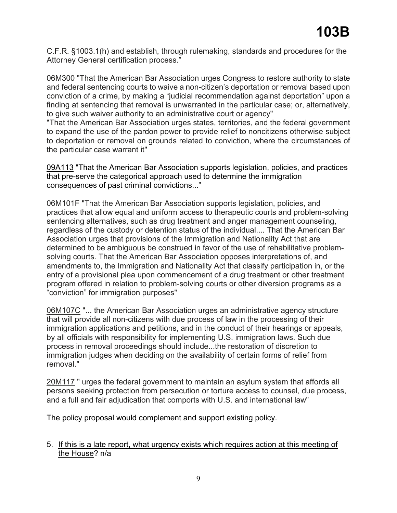C.F.R. §1003.1(h) and establish, through rulemaking, standards and procedures for the Attorney General certification process."

06M300 "That the American Bar Association urges Congress to restore authority to state and federal sentencing courts to waive a non-citizen's deportation or removal based upon conviction of a crime, by making a "judicial recommendation against deportation" upon a finding at sentencing that removal is unwarranted in the particular case; or, alternatively, to give such waiver authority to an administrative court or agency"

"That the American Bar Association urges states, territories, and the federal government to expand the use of the pardon power to provide relief to noncitizens otherwise subject to deportation or removal on grounds related to conviction, where the circumstances of the particular case warrant it"

09A113 "That the American Bar Association supports legislation, policies, and practices that pre-serve the categorical approach used to determine the immigration consequences of past criminal convictions..."

06M101F "That the American Bar Association supports legislation, policies, and practices that allow equal and uniform access to therapeutic courts and problem-solving sentencing alternatives, such as drug treatment and anger management counseling, regardless of the custody or detention status of the individual.... That the American Bar Association urges that provisions of the Immigration and Nationality Act that are determined to be ambiguous be construed in favor of the use of rehabilitative problemsolving courts. That the American Bar Association opposes interpretations of, and amendments to, the Immigration and Nationality Act that classify participation in, or the entry of a provisional plea upon commencement of a drug treatment or other treatment program offered in relation to problem-solving courts or other diversion programs as a "conviction" for immigration purposes"

06M107C "... the American Bar Association urges an administrative agency structure that will provide all non-citizens with due process of law in the processing of their immigration applications and petitions, and in the conduct of their hearings or appeals, by all officials with responsibility for implementing U.S. immigration laws. Such due process in removal proceedings should include...the restoration of discretion to immigration judges when deciding on the availability of certain forms of relief from removal."

20M117 " urges the federal government to maintain an asylum system that affords all persons seeking protection from persecution or torture access to counsel, due process, and a full and fair adjudication that comports with U.S. and international law"

The policy proposal would complement and support existing policy.

5. If this is a late report, what urgency exists which requires action at this meeting of the House? n/a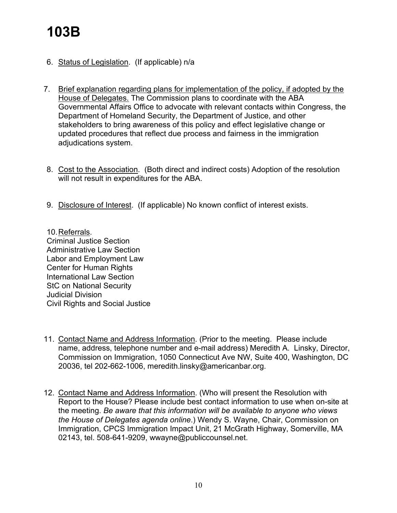- 6. Status of Legislation. (If applicable) n/a
- 7. Brief explanation regarding plans for implementation of the policy, if adopted by the House of Delegates. The Commission plans to coordinate with the ABA Governmental Affairs Office to advocate with relevant contacts within Congress, the Department of Homeland Security, the Department of Justice, and other stakeholders to bring awareness of this policy and effect legislative change or updated procedures that reflect due process and fairness in the immigration adjudications system.
- 8. Cost to the Association. (Both direct and indirect costs) Adoption of the resolution will not result in expenditures for the ABA.
- 9. Disclosure of Interest. (If applicable) No known conflict of interest exists.

10.Referrals. Criminal Justice Section Administrative Law Section Labor and Employment Law Center for Human Rights International Law Section StC on National Security Judicial Division Civil Rights and Social Justice

- 11. Contact Name and Address Information. (Prior to the meeting. Please include name, address, telephone number and e-mail address) Meredith A. Linsky, Director, Commission on Immigration, 1050 Connecticut Ave NW, Suite 400, Washington, DC 20036, tel 202-662-1006, meredith.linsky@americanbar.org.
- 12. Contact Name and Address Information. (Who will present the Resolution with Report to the House? Please include best contact information to use when on-site at the meeting. *Be aware that this information will be available to anyone who views the House of Delegates agenda online*.) Wendy S. Wayne, Chair, Commission on Immigration, CPCS Immigration Impact Unit, 21 McGrath Highway, Somerville, MA 02143, tel. 508-641-9209, wwayne@publiccounsel.net.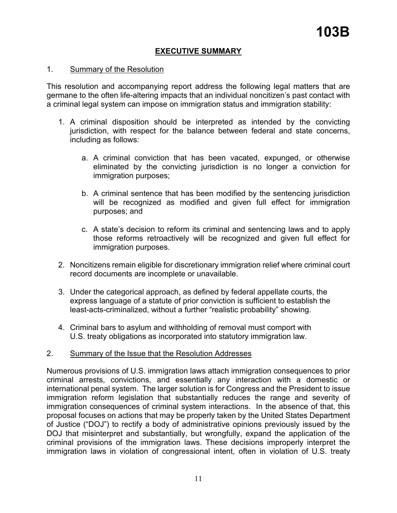## **EXECUTIVE SUMMARY**

### 1. Summary of the Resolution

This resolution and accompanying report address the following legal matters that are germane to the often life-altering impacts that an individual noncitizen's past contact with a criminal legal system can impose on immigration status and immigration stability:

- 1. A criminal disposition should be interpreted as intended by the convicting jurisdiction, with respect for the balance between federal and state concerns, including as follows:
	- a. A criminal conviction that has been vacated, expunged, or otherwise eliminated by the convicting jurisdiction is no longer a conviction for immigration purposes;
	- b. A criminal sentence that has been modified by the sentencing jurisdiction will be recognized as modified and given full effect for immigration purposes; and
	- c. A state's decision to reform its criminal and sentencing laws and to apply those reforms retroactively will be recognized and given full effect for immigration purposes.
- 2. Noncitizens remain eligible for discretionary immigration relief where criminal court record documents are incomplete or unavailable.
- 3. Under the categorical approach, as defined by federal appellate courts, the express language of a statute of prior conviction is sufficient to establish the least-acts-criminalized, without a further "realistic probability" showing.
- 4. Criminal bars to asylum and withholding of removal must comport with U.S. treaty obligations as incorporated into statutory immigration law.

### 2. Summary of the Issue that the Resolution Addresses

Numerous provisions of U.S. immigration laws attach immigration consequences to prior criminal arrests, convictions, and essentially any interaction with a domestic or international penal system. The larger solution is for Congress and the President to issue immigration reform legislation that substantially reduces the range and severity of immigration consequences of criminal system interactions. In the absence of that, this proposal focuses on actions that may be properly taken by the United States Department of Justice ("DOJ") to rectify a body of administrative opinions previously issued by the DOJ that misinterpret and substantially, but wrongfully, expand the application of the criminal provisions of the immigration laws. These decisions improperly interpret the immigration laws in violation of congressional intent, often in violation of U.S. treaty